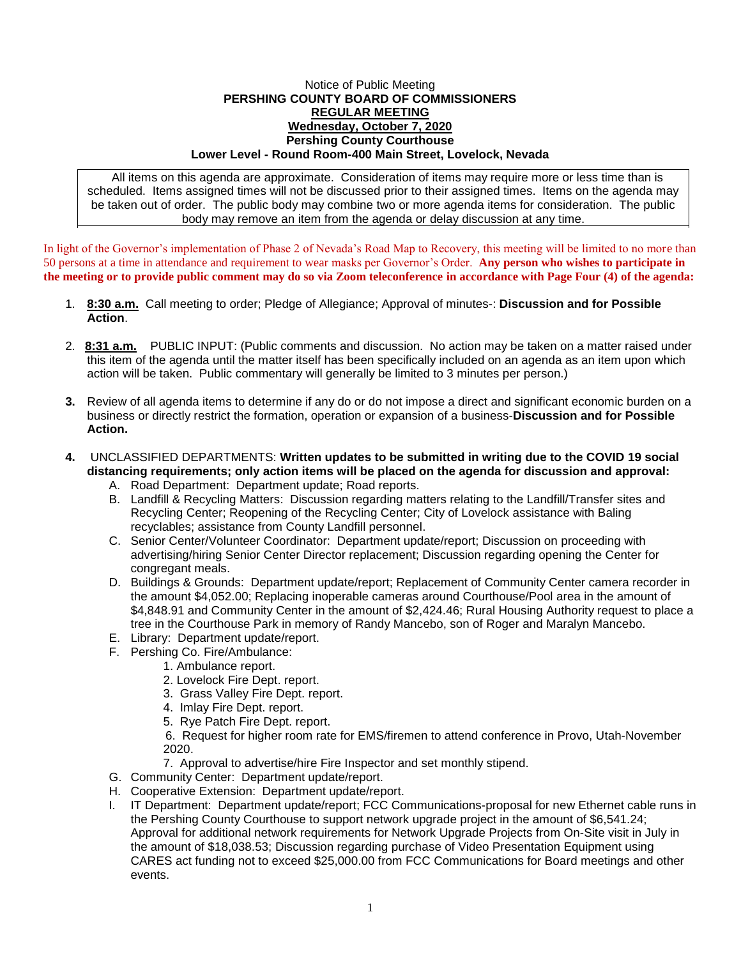## Notice of Public Meeting **PERSHING COUNTY BOARD OF COMMISSIONERS REGULAR MEETING Wednesday, October 7, 2020 Pershing County Courthouse Lower Level - Round Room-400 Main Street, Lovelock, Nevada**

All items on this agenda are approximate. Consideration of items may require more or less time than is scheduled. Items assigned times will not be discussed prior to their assigned times. Items on the agenda may be taken out of order. The public body may combine two or more agenda items for consideration. The public body may remove an item from the agenda or delay discussion at any time.

In light of the Governor's implementation of Phase 2 of Nevada's Road Map to Recovery, this meeting will be limited to no more than 50 persons at a time in attendance and requirement to wear masks per Governor's Order. **Any person who wishes to participate in the meeting or to provide public comment may do so via Zoom teleconference in accordance with Page Four (4) of the agenda:** 

- 1. **8:30 a.m.** Call meeting to order; Pledge of Allegiance; Approval of minutes-: **Discussion and for Possible Action**.
- 2. **8:31 a.m.** PUBLIC INPUT: (Public comments and discussion. No action may be taken on a matter raised under this item of the agenda until the matter itself has been specifically included on an agenda as an item upon which action will be taken. Public commentary will generally be limited to 3 minutes per person.)
- **3.** Review of all agenda items to determine if any do or do not impose a direct and significant economic burden on a business or directly restrict the formation, operation or expansion of a business-**Discussion and for Possible Action.**
- **4.** UNCLASSIFIED DEPARTMENTS: **Written updates to be submitted in writing due to the COVID 19 social distancing requirements; only action items will be placed on the agenda for discussion and approval:**
	- A. Road Department: Department update; Road reports.
	- B. Landfill & Recycling Matters: Discussion regarding matters relating to the Landfill/Transfer sites and Recycling Center; Reopening of the Recycling Center; City of Lovelock assistance with Baling recyclables; assistance from County Landfill personnel.
	- C. Senior Center/Volunteer Coordinator: Department update/report; Discussion on proceeding with advertising/hiring Senior Center Director replacement; Discussion regarding opening the Center for congregant meals.
	- D. Buildings & Grounds: Department update/report; Replacement of Community Center camera recorder in the amount \$4,052.00; Replacing inoperable cameras around Courthouse/Pool area in the amount of \$4,848.91 and Community Center in the amount of \$2,424.46; Rural Housing Authority request to place a tree in the Courthouse Park in memory of Randy Mancebo, son of Roger and Maralyn Mancebo.
	- E. Library: Department update/report.
	- F. Pershing Co. Fire/Ambulance:
		- 1. Ambulance report.
			- 2. Lovelock Fire Dept. report.
			- 3. Grass Valley Fire Dept. report.
			- 4. Imlay Fire Dept. report.
			- 5. Rye Patch Fire Dept. report.

6. Request for higher room rate for EMS/firemen to attend conference in Provo, Utah-November 2020.

- 7. Approval to advertise/hire Fire Inspector and set monthly stipend.
- G. Community Center: Department update/report.
- H. Cooperative Extension: Department update/report.
- I. IT Department: Department update/report; FCC Communications-proposal for new Ethernet cable runs in the Pershing County Courthouse to support network upgrade project in the amount of \$6,541.24; Approval for additional network requirements for Network Upgrade Projects from On-Site visit in July in the amount of \$18,038.53; Discussion regarding purchase of Video Presentation Equipment using CARES act funding not to exceed \$25,000.00 from FCC Communications for Board meetings and other events.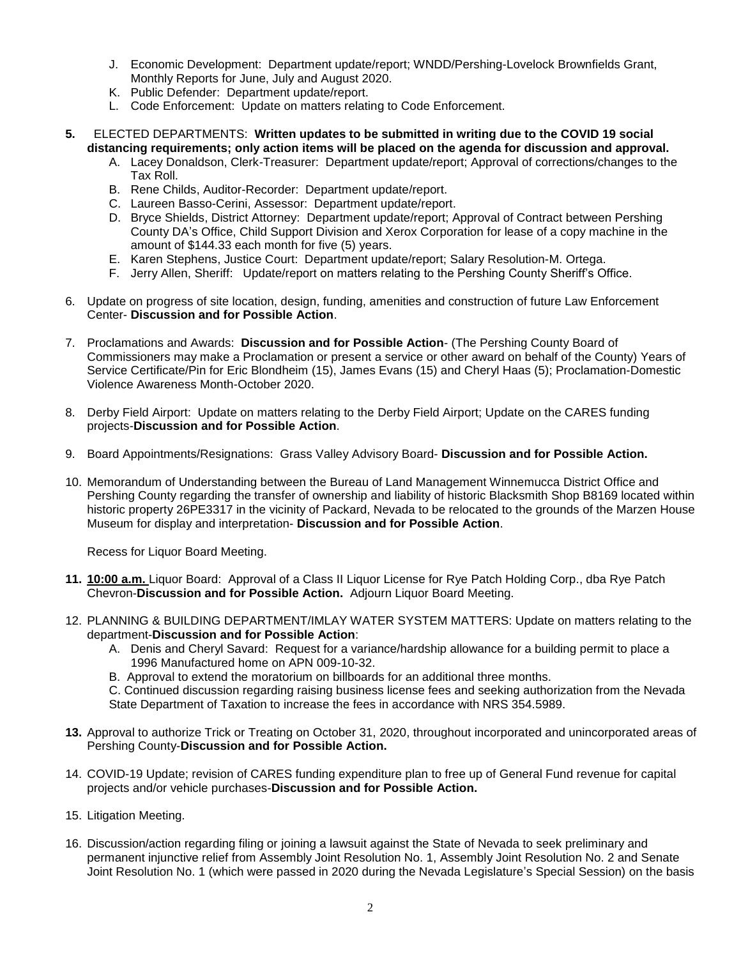- J. Economic Development: Department update/report; WNDD/Pershing-Lovelock Brownfields Grant, Monthly Reports for June, July and August 2020.
- K. Public Defender: Department update/report.
- L. Code Enforcement: Update on matters relating to Code Enforcement.
- **5.** ELECTED DEPARTMENTS: **Written updates to be submitted in writing due to the COVID 19 social distancing requirements; only action items will be placed on the agenda for discussion and approval.**
	- A. Lacey Donaldson, Clerk-Treasurer: Department update/report; Approval of corrections/changes to the Tax Roll.
	- B. Rene Childs, Auditor-Recorder: Department update/report.
	- C. Laureen Basso-Cerini, Assessor: Department update/report.
	- D. Bryce Shields, District Attorney: Department update/report; Approval of Contract between Pershing County DA's Office, Child Support Division and Xerox Corporation for lease of a copy machine in the amount of \$144.33 each month for five (5) years.
	- E. Karen Stephens, Justice Court: Department update/report; Salary Resolution-M. Ortega.
	- F. Jerry Allen, Sheriff: Update/report on matters relating to the Pershing County Sheriff's Office.
- 6. Update on progress of site location, design, funding, amenities and construction of future Law Enforcement Center- **Discussion and for Possible Action**.
- 7. Proclamations and Awards: **Discussion and for Possible Action** (The Pershing County Board of Commissioners may make a Proclamation or present a service or other award on behalf of the County) Years of Service Certificate/Pin for Eric Blondheim (15), James Evans (15) and Cheryl Haas (5); Proclamation-Domestic Violence Awareness Month-October 2020.
- 8. Derby Field Airport: Update on matters relating to the Derby Field Airport; Update on the CARES funding projects-**Discussion and for Possible Action**.
- 9. Board Appointments/Resignations: Grass Valley Advisory Board- **Discussion and for Possible Action.**
- 10. Memorandum of Understanding between the Bureau of Land Management Winnemucca District Office and Pershing County regarding the transfer of ownership and liability of historic Blacksmith Shop B8169 located within historic property 26PE3317 in the vicinity of Packard, Nevada to be relocated to the grounds of the Marzen House Museum for display and interpretation- **Discussion and for Possible Action**.

Recess for Liquor Board Meeting.

- **11. 10:00 a.m.** Liquor Board: Approval of a Class II Liquor License for Rye Patch Holding Corp., dba Rye Patch Chevron-**Discussion and for Possible Action.** Adjourn Liquor Board Meeting.
- 12. PLANNING & BUILDING DEPARTMENT/IMLAY WATER SYSTEM MATTERS: Update on matters relating to the department-**Discussion and for Possible Action**:
	- A. Denis and Cheryl Savard: Request for a variance/hardship allowance for a building permit to place a 1996 Manufactured home on APN 009-10-32.
	- B. Approval to extend the moratorium on billboards for an additional three months.

C. Continued discussion regarding raising business license fees and seeking authorization from the Nevada State Department of Taxation to increase the fees in accordance with NRS 354.5989.

- **13.** Approval to authorize Trick or Treating on October 31, 2020, throughout incorporated and unincorporated areas of Pershing County-**Discussion and for Possible Action.**
- 14. COVID-19 Update; revision of CARES funding expenditure plan to free up of General Fund revenue for capital projects and/or vehicle purchases-**Discussion and for Possible Action.**
- 15. Litigation Meeting.
- 16. Discussion/action regarding filing or joining a lawsuit against the State of Nevada to seek preliminary and permanent injunctive relief from Assembly Joint Resolution No. 1, Assembly Joint Resolution No. 2 and Senate Joint Resolution No. 1 (which were passed in 2020 during the Nevada Legislature's Special Session) on the basis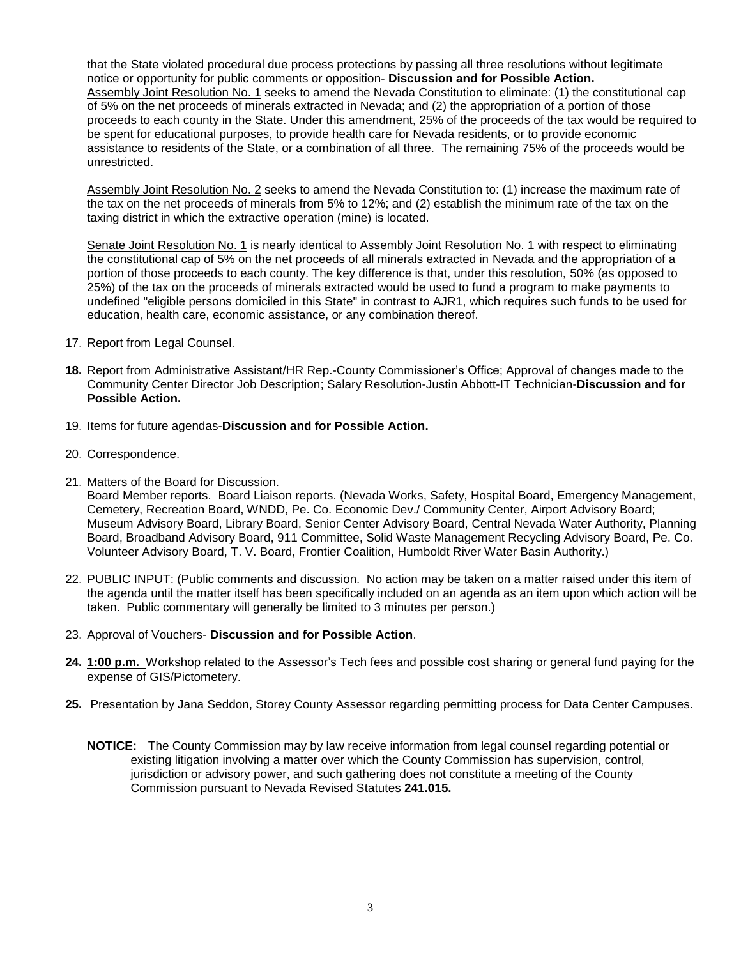that the State violated procedural due process protections by passing all three resolutions without legitimate notice or opportunity for public comments or opposition- **Discussion and for Possible Action.** Assembly Joint Resolution No. 1 seeks to amend the Nevada Constitution to eliminate: (1) the constitutional cap of 5% on the net proceeds of minerals extracted in Nevada; and (2) the appropriation of a portion of those proceeds to each county in the State. Under this amendment, 25% of the proceeds of the tax would be required to be spent for educational purposes, to provide health care for Nevada residents, or to provide economic assistance to residents of the State, or a combination of all three. The remaining 75% of the proceeds would be unrestricted.

Assembly Joint Resolution No. 2 seeks to amend the Nevada Constitution to: (1) increase the maximum rate of the tax on the net proceeds of minerals from 5% to 12%; and (2) establish the minimum rate of the tax on the taxing district in which the extractive operation (mine) is located.

Senate Joint Resolution No. 1 is nearly identical to Assembly Joint Resolution No. 1 with respect to eliminating the constitutional cap of 5% on the net proceeds of all minerals extracted in Nevada and the appropriation of a portion of those proceeds to each county. The key difference is that, under this resolution, 50% (as opposed to 25%) of the tax on the proceeds of minerals extracted would be used to fund a program to make payments to undefined "eligible persons domiciled in this State" in contrast to AJR1, which requires such funds to be used for education, health care, economic assistance, or any combination thereof.

- 17. Report from Legal Counsel.
- **18.** Report from Administrative Assistant/HR Rep.-County Commissioner's Office; Approval of changes made to the Community Center Director Job Description; Salary Resolution-Justin Abbott-IT Technician-**Discussion and for Possible Action.**
- 19. Items for future agendas-**Discussion and for Possible Action.**
- 20. Correspondence.
- 21. Matters of the Board for Discussion.

Board Member reports. Board Liaison reports. (Nevada Works, Safety, Hospital Board, Emergency Management, Cemetery, Recreation Board, WNDD, Pe. Co. Economic Dev./ Community Center, Airport Advisory Board; Museum Advisory Board, Library Board, Senior Center Advisory Board, Central Nevada Water Authority, Planning Board, Broadband Advisory Board, 911 Committee, Solid Waste Management Recycling Advisory Board, Pe. Co. Volunteer Advisory Board, T. V. Board, Frontier Coalition, Humboldt River Water Basin Authority.)

- 22. PUBLIC INPUT: (Public comments and discussion. No action may be taken on a matter raised under this item of the agenda until the matter itself has been specifically included on an agenda as an item upon which action will be taken. Public commentary will generally be limited to 3 minutes per person.)
- 23. Approval of Vouchers- **Discussion and for Possible Action**.
- **24. 1:00 p.m.** Workshop related to the Assessor's Tech fees and possible cost sharing or general fund paying for the expense of GIS/Pictometery.
- **25.** Presentation by Jana Seddon, Storey County Assessor regarding permitting process for Data Center Campuses.
	- **NOTICE:** The County Commission may by law receive information from legal counsel regarding potential or existing litigation involving a matter over which the County Commission has supervision, control, jurisdiction or advisory power, and such gathering does not constitute a meeting of the County Commission pursuant to Nevada Revised Statutes **241.015.**